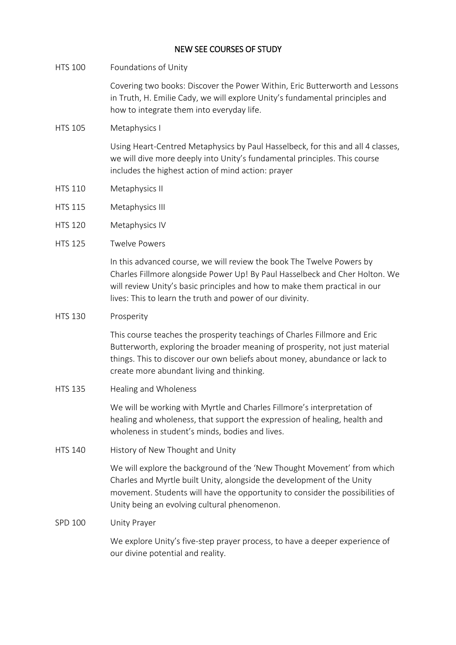# NEW SEE COURSES OF STUDY

HTS 100 Foundations of Unity

Covering two books: Discover the Power Within, Eric Butterworth and Lessons in Truth, H. Emilie Cady, we will explore Unity's fundamental principles and how to integrate them into everyday life.

# HTS 105 Metaphysics I

Using Heart-Centred Metaphysics by Paul Hasselbeck, for this and all 4 classes, we will dive more deeply into Unity's fundamental principles. This course includes the highest action of mind action: prayer

- HTS 110 Metaphysics II
- HTS 115 Metaphysics III
- HTS 120 Metaphysics IV
- HTS 125 Twelve Powers

In this advanced course, we will review the book The Twelve Powers by Charles Fillmore alongside Power Up! By Paul Hasselbeck and Cher Holton. We will review Unity's basic principles and how to make them practical in our lives: This to learn the truth and power of our divinity.

# HTS 130 Prosperity

This course teaches the prosperity teachings of Charles Fillmore and Eric Butterworth, exploring the broader meaning of prosperity, not just material things. This to discover our own beliefs about money, abundance or lack to create more abundant living and thinking.

HTS 135 Healing and Wholeness

We will be working with Myrtle and Charles Fillmore's interpretation of healing and wholeness, that support the expression of healing, health and wholeness in student's minds, bodies and lives.

HTS 140 History of New Thought and Unity

We will explore the background of the 'New Thought Movement' from which Charles and Myrtle built Unity, alongside the development of the Unity movement. Students will have the opportunity to consider the possibilities of Unity being an evolving cultural phenomenon.

# SPD 100 Unity Prayer

We explore Unity's five-step prayer process, to have a deeper experience of our divine potential and reality.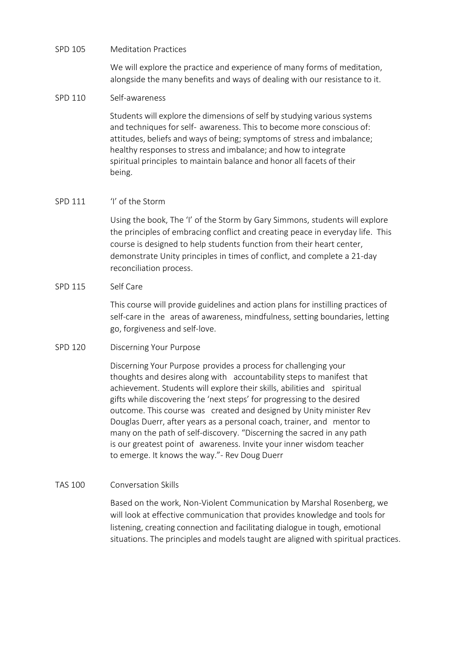#### SPD 105 Meditation Practices

We will explore the practice and experience of many forms of meditation, alongside the many benefits and ways of dealing with our resistance to it.

#### SPD 110 Self-awareness

Students will explore the dimensions of self by studying various systems and techniques for self- awareness. This to become more conscious of: attitudes, beliefs and ways of being; symptoms of stress and imbalance; healthy responses to stress and imbalance; and how to integrate spiritual principles to maintain balance and honor all facets of their being.

#### SPD 111 'I' of the Storm

Using the book, The 'I' of the Storm by Gary Simmons, students will explore the principles of embracing conflict and creating peace in everyday life. This course is designed to help students function from their heart center, demonstrate Unity principles in times of conflict, and complete a 21-day reconciliation process.

# SPD 115 Self Care

This course will provide guidelines and action plans for instilling practices of self-care in the areas of awareness, mindfulness, setting boundaries, letting go, forgiveness and self-love.

# SPD 120 Discerning Your Purpose

Discerning Your Purpose provides a process for challenging your thoughts and desires along with accountability steps to manifest that achievement. Students will explore their skills, abilities and spiritual gifts while discovering the 'next steps' for progressing to the desired outcome. This course was created and designed by Unity minister Rev Douglas Duerr, after years as a personal coach, trainer, and mentor to many on the path of self-discovery. "Discerning the sacred in any path is our greatest point of awareness. Invite your inner wisdom teacher to emerge. It knows the way."- Rev Doug Duerr

# TAS 100 Conversation Skills

Based on the work, Non-Violent Communication by Marshal Rosenberg, we will look at effective communication that provides knowledge and tools for listening, creating connection and facilitating dialogue in tough, emotional situations. The principles and models taught are aligned with spiritual practices.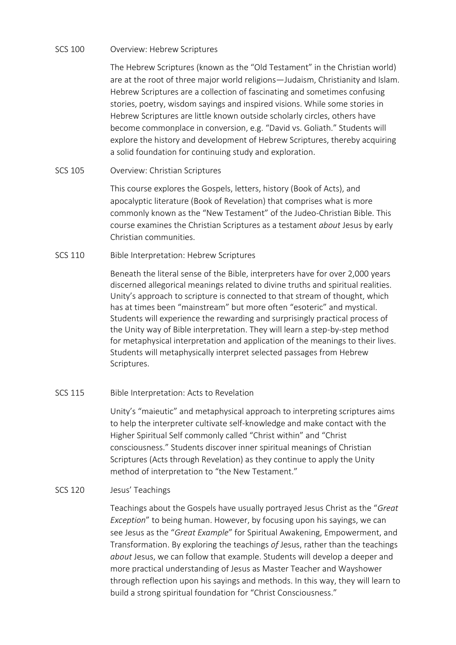# SCS 100 Overview: Hebrew Scriptures

The Hebrew Scriptures (known as the "Old Testament" in the Christian world) are at the root of three major world religions—Judaism, Christianity and Islam. Hebrew Scriptures are a collection of fascinating and sometimes confusing stories, poetry, wisdom sayings and inspired visions. While some stories in Hebrew Scriptures are little known outside scholarly circles, others have become commonplace in conversion, e.g. "David vs. Goliath." Students will explore the history and development of Hebrew Scriptures, thereby acquiring a solid foundation for continuing study and exploration.

# SCS 105 Overview: Christian Scriptures

This course explores the Gospels, letters, history (Book of Acts), and apocalyptic literature (Book of Revelation) that comprises what is more commonly known as the "New Testament" of the Judeo-Christian Bible. This course examines the Christian Scriptures as a testament *about* Jesus by early Christian communities.

#### SCS 110 Bible Interpretation: Hebrew Scriptures

Beneath the literal sense of the Bible, interpreters have for over 2,000 years discerned allegorical meanings related to divine truths and spiritual realities. Unity's approach to scripture is connected to that stream of thought, which has at times been "mainstream" but more often "esoteric" and mystical. Students will experience the rewarding and surprisingly practical process of the Unity way of Bible interpretation. They will learn a step-by-step method for metaphysical interpretation and application of the meanings to their lives. Students will metaphysically interpret selected passages from Hebrew Scriptures.

# SCS 115 Bible Interpretation: Acts to Revelation

Unity's "maieutic" and metaphysical approach to interpreting scriptures aims to help the interpreter cultivate self-knowledge and make contact with the Higher Spiritual Self commonly called "Christ within" and "Christ consciousness." Students discover inner spiritual meanings of Christian Scriptures (Acts through Revelation) as they continue to apply the Unity method of interpretation to "the New Testament."

# SCS 120 Jesus' Teachings

Teachings about the Gospels have usually portrayed Jesus Christ as the "*Great Exception*" to being human. However, by focusing upon his sayings, we can see Jesus as the "*Great Example*" for Spiritual Awakening, Empowerment, and Transformation. By exploring the teachings *of* Jesus, rather than the teachings *about* Jesus, we can follow that example. Students will develop a deeper and more practical understanding of Jesus as Master Teacher and Wayshower through reflection upon his sayings and methods. In this way, they will learn to build a strong spiritual foundation for "Christ Consciousness."